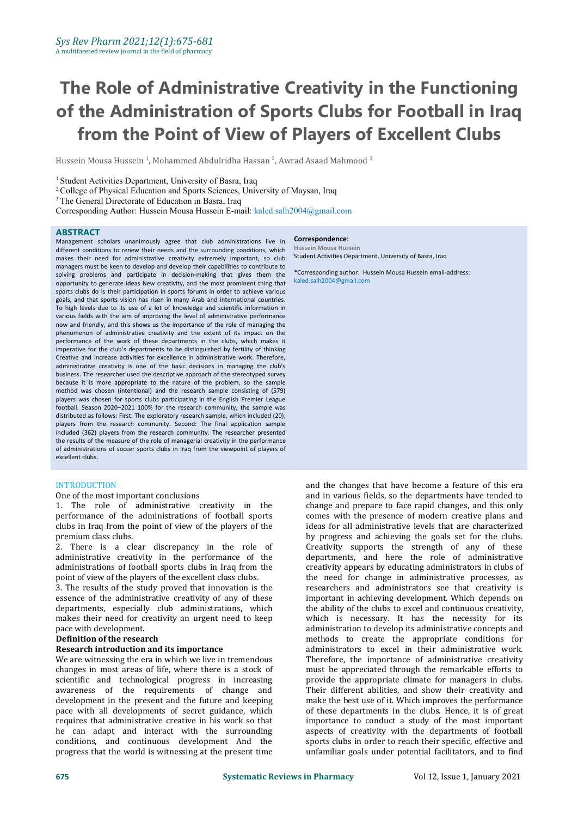# **The Role of Administrative Creativity in the Functioning of the Administration of Sports Clubs for Football in Iraq from the Point of View of Players of Excellent Clubs**

Hussein Mousa Hussein <sup>1</sup>, Mohammed Abdulridha Hassan <sup>2</sup>, Awrad Asaad Mahmood <sup>3</sup> 3

<sup>1</sup> Student Activities Department, University of Basra, Iraq

<sup>2</sup> College of Physical Education and Sports Sciences, University of Maysan, Iraq

<sup>3</sup> The General Directorate of Education in Basra, Iraq

Corresponding Author: Hussein Mousa Hussein E-mail: kaled.salh2004@gmail.com

### **ABSTRACT**

Management scholars unanimously agree that club administrations live in different conditions to renew their needs and the surrounding conditions, which makes their need for administrative creativity extremely important, so club managers must be keen to develop and develop their capabilities to contribute to solving problems and participate in decision-making that gives them the opportunity to generate ideas New creativity, and the most prominent thing that sports clubs do is their participation in sports forums in order to achieve various goals, and that sports vision has risen in many Arab and international countries. To high levels due to its use of a lot of knowledge and scientific information in various fields with the aim of improving the level of administrative performance now and friendly, and this shows us the importance of the role of managing the phenomenon of administrative creativity and the extent of its impact on the performance of the work of these departments in the clubs, which makes it imperative for the club's departments to be distinguished by fertility of thinking Creative and increase activities for excellence in administrative work. Therefore, administrative creativity is one of the basic decisions in managing the club's business. The researcher used the descriptive approach of the stereotyped survey because it is more appropriate to the nature of the problem, so the sample method was chosen (intentional) and the research sample consisting of (579) players was chosen for sports clubs participating in the English Premier League<br>football. Season 2020-2021 100% for the research community, the sample was distributed as follows: First: The exploratory research sample, which included (20), players from the research community. Second: The final application sample included (362) players from the research community. The researcher presented the results of the measure of the role of managerial creativity in the performance of administrations of soccer sports clubs in Iraq from the viewpoint of players of excellent clubs.

### **INTRODUCTION**

One of the most important conclusions

1. The role of administrative creativity in the performance of the administrations of football sports clubs in Iraq from the point of view of the players of the premium class clubs.

2. There is a clear discrepancy in the role of administrative creativity in the performance of the administrations of football sports clubs in Iraq from the point of view of the players of the excellent class clubs.

3. The results of the study proved that innovation is the essence of the administrative creativity of any of these departments, especially club administrations, which makes their need for creativity an urgent need to keep

### **Definition of the research**

### **Research introduction and its importance**

We are witnessing the era in which we live in tremendous changes in most areas of life, where there is a stock of scientific and technological progress in increasing awareness of the requirements of change and development in the present and the future and keeping pace with all developments of secret guidance, which requires that administrative creative in his work so that he can adapt and interact with the surrounding conditions, and continuous development And the progress that the world is witnessing at the present time

#### **Correspondence**: **Hussein Mousa Hussein**

Student Activities Department, University of Basra, Iraq

\*Corresponding author: Hussein Mousa Hussein email-address: kaled.salh2004@gmail.com

and the changes that have become a feature of this era and in various fields, so the departments have tended to change and prepare to face rapid changes, and this only comes with the presence of modern creative plans and ideas for all administrative levels that are characterized by progress and achieving the goals set for the clubs. Creativity supports the strength of any of these departments, and here the role of administrative creativity appears by educating administrators in clubs of the need for change in administrative processes, as researchers and administrators see that creativity is important in achieving development. Which depends on the ability of the clubs to excel and continuous creativity, which is necessary. It has the necessity for its administration to develop its administrative concepts and methods to create the appropriate conditions for administrators to excel in their administrative work. Therefore, the importance of administrative creativity must be appreciated through the remarkable efforts to provide the appropriate climate for managers in clubs. Their different abilities, and show their creativity and make the best use of it. Which improves the performance of these departments in the clubs. Hence, it is of great importance to conduct a study of the most important aspects of creativity with the departments of football sports clubs in order to reach their specific, effective and unfamiliar goals under potential facilitators, and to find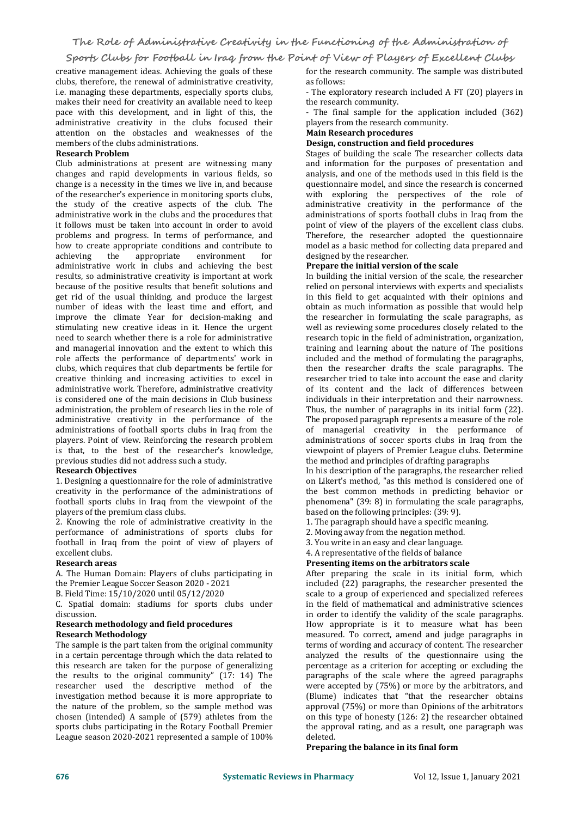# **The Role of Administrative Creativity in the Functioning of the Administration of**

# **Sports Clubs for Football in Iraq from the Point of View of Players of Excellent Clubs**

creative management ideas. Achieving the goals of these for the res<br>clubs, therefore, the renewal of administrative creativity, as follows: clubs, therefore, the renewal of administrative creativity, i.e. managing these departments, especially sports clubs, makes their need for creativity an available need to keep pace with this development, and in light of this, the The final sample for the applicat administrative creativity in the clubs focused their players from the research community. administrative creativity in the clubs focused their attention on the obstacles and weaknesses of the members of the clubs administrations. **Research Problem**

Club administrations at present are witnessing many changes and rapid developments in various fields, so change is a necessity in the times we live in, and because of the researcher's experience in monitoring sports clubs, the study of the creative aspects of the club. The administrative work in the clubs and the procedures that it follows must be taken into account in order to avoid problems and progress. In terms of performance, and how to create appropriate conditions and contribute to model as a basic method for achieving the appropriate environment for designed by the researcher. environment administrative work in clubs and achieving the best results, so administrative creativity is important at work because of the positive results that benefit solutions and get rid of the usual thinking, and produce the largest number of ideas with the least time and effort, and improve the climate Year for decision-making and stimulating new creative ideas in it. Hence the urgent need to search whether there is a role for administrative and managerial innovation and the extent to which this training and learning about the nature of The positions role affects the performance of departments' work in included and the method of formulating the paragraphs, role affects the performance of departments' work in clubs, which requires that club departments be fertile for creative thinking and increasing activities to excel in administrative work. Therefore, administrative creativity is considered one of the main decisions in Club business administration, the problem of research lies in the role of administrative creativity in the performance of the administrations of football sports clubs in Iraq from the players. Point of view. Reinforcing the research problem is that, to the best of the researcher's knowledge, previous studies did not address such <sup>a</sup> study. **Research Objectives**

1. Designing a questionnaire for the role of administrative creativity in the performance of the administrations of the best common methods in predicting behavior or football sports clubs in Iraq from the viewpoint of the phenomena" (39: 8) in formulating the scale paragraphs, football sports clubs in Iraq from the viewpoint of the players of the premium class clubs.

2. Knowing the role of administrative creativity in the performance of administrations of sports clubs for 2. Moving away from the negation method.<br>
football in Iraq from the point of view of players of 3. You write in an easy and clear language. football in Iraq from the point of view of players of 3. You write in an easy and clear language.<br>excellent clubs. 4. A representative of the fields of balance

### **Research** areas

A. The Human Domain: Players of clubs participating in the Premier League Soccer Season 2020 - 2021

B. Field Time: 15/10/2020 until 05/12/2020

## discussion. **Research methodology and field procedures Research Methodology**

The sample is the part taken from the original community in a certain percentage through which the data related to this research are taken for the purpose of generalizing the results to the original community" (17: 14) The researcher used the descriptive method of the investigation method because it is more appropriate to the nature of the problem, so the sample method was chosen (intended) A sample of (579) athletes from the sports clubs participating in the Rotary Football Premier been the app<br>League season 2020-2021 represented a sample of 100% deleted. League season 2020-2021 represented a sample of 100%

for the research community. The sample was distributed as follows:

- The exploratory research included A FT (20) players in the research community.

- The final sample for the application included (362)

# **Main Research procedures**

# **Design, construction and field procedures**

Stages of building the scale The researcher collects data and information for the purposes of presentation and analysis, and one of the methods used in this field is the questionnaire model, and since the research is concerned with exploring the perspectives of the role of administrative creativity in the performance of the administrations of sports football clubs in Iraq from the point of view of the players of the excellent class clubs. Therefore, the researcher adopted the questionnaire model as a basic method for collecting data prepared and

### designed by the researcher. **Prepare the initial version of the scale**

In building the initial version of the scale, the researcher relied on personal interviews with experts and specialists in this field to get acquainted with their opinions and obtain as much information as possible that would help the researcher in formulating the scale paragraphs, as well as reviewing some procedures closely related to the research topic in the field of administration, organization, training and learning about the nature of The positions then the researcher drafts the scale paragraphs. The researcher tried to take into account the ease and clarity of its content and the lack of differences between individuals in their interpretation and their narrowness. Thus, the number of paragraphs in its initial form (22). The proposed paragraph represents a measure of the role of managerial creativity in the performance of administrations of soccer sports clubs in Iraq from the viewpoint of players of Premier League clubs. Determine the method and principles of drafting paragraphs

In his description of the paragraphs, the researcher relied on Likert's method, "as this method is considered one of the best common methods in predicting behavior or based on the following principles: (39: 9).

1. The paragraph should have a specific meaning.

- 2. Moving away from the negation method.
- 

### 3. You write in an easy and clear language.4. <sup>A</sup> representative of the fields ofbalance **Presenting items on the arbitrators scale**

C. Spatial domain: stadiums for sports clubs under in the field of mathematical and administrative sciences discussion.<br>discussion. After preparing the scale in its initial form, which included (22) paragraphs, the researcher presented the scale to a group of experienced and specialized referees in the field of mathematical and administrative sciences How appropriate is it to measure what has been measured. To correct, amend and judge paragraphs in terms of wording and accuracy of content. The researcher analyzed the results of the questionnaire using the percentage as a criterion for accepting or excluding the paragraphs of the scale where the agreed paragraphs were accepted by (75%) or more by the arbitrators, and (Blume) indicates that "that the researcher obtains approval (75%) or more than Opinions of the arbitrators on this type of honesty (126: 2) the researcher obtained the approval rating, and as a result, one paragraph was

**Preparing the balance in its final form**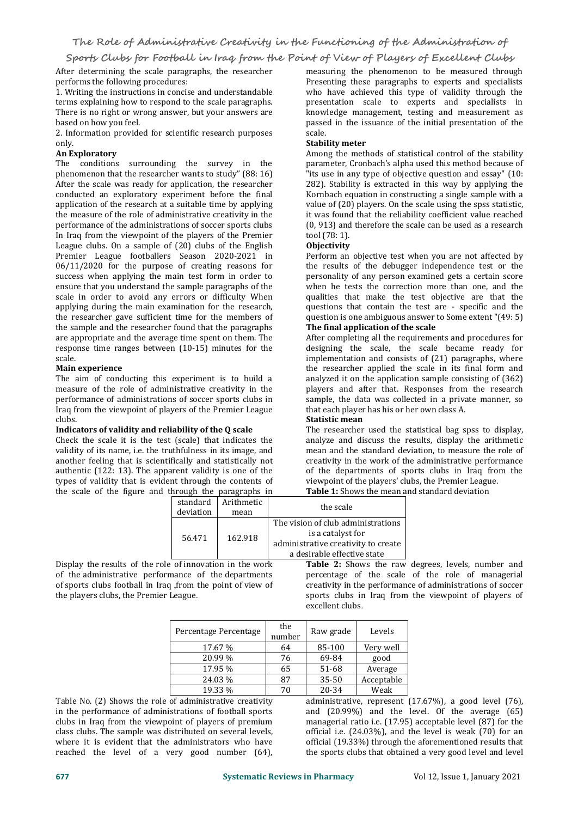# **Sports Clubs for Football in Iraq from the Point of View of Players of Excellent Clubs**

After determining the scale paragraphs, the researcher performs the following procedures:

1. Writing the instructions in concise and understandable terms explaining how to respond to the scale paragraphs. There is no right or wrong answer, but your answers are based on how you feel.

2. Information provided for scientific research purposes scale.<br> **Stabi** 

# **An Exploratory**

phenomenon that the researcher wants to study" (88:16) After the scale was ready for application, the researcher conducted an exploratory experiment before the final application of the research at a suitable time by applying the measure of the role of administrative creativity in the performance of the administrations of soccer sports clubs (0, 913) and<br>In Iraq from the viewpoint of the players of the Premier tool (78: 1). In Iraq from the viewpoint of the players of the Premier League clubs. On a sample of (20) clubs of the English Premier League footballers Season 2020-2021 in 06/11/2020 for the purpose of creating reasons for success when applying the main test form in order to ensure that you understand the sample paragraphs of the scale in order to avoid any errors or difficulty When applying during the main examination for the research, the researcher gave sufficient time for the members of the sample and the researcher found that the paragraphs are appropriate and the average time spent on them. The response time ranges between (10-15) minutes for the

# scale. **Main experience**

The aim of conducting this experiment is to build a measure of the role of administrative creativity in the performance of administrations of soccer sports clubs in Iraq from the viewpoint of players of the Premier League that each player clubs.<br> **Statistic mean** 

# clubs. **Indicators of validity and reliability of the <sup>Q</sup> scale**

Check the scale it is the test (scale) that indicates the validity of its name, i.e. the truthfulness in its image, and another feeling that is scientifically and statistically not authentic (122: 13). The apparent validity is one of the state of the departments of sports clubs in Iraq from types of validity that is evident through the contents of viewpoint of the players' clubs, the Premier League. types of validity that is evident through the contents of the scale of the figure and through the paragraphs in

measuring the phenomenon to be measured through Presenting these paragraphs to experts and specialists who have achieved this type of validity through the presentation scale to experts and specialists in knowledge management, testing and measurement as passed in the issuance of the initial presentation of the

# **Stability** meter

The conditions surrounding the survey in the parameter, Cronbach's alpha used this method because of Among the methods of statistical control of the stability "its use in any type of objective question and essay" (10: 282). Stability is extracted in this way by applying the Kornbach equation in constructing a single sample with a value of (20) players. On the scale using the spss statistic, it was found that the reliability coefficient value reached  $(0, 913)$  and therefore the scale can be used as a research

# **Objectivity**

Perform an objective test when you are not affected by the results of the debugger independence test or the personality of any person examined gets a certain score when he tests the correction more than one, and the qualities that make the test objective are that the questions that contain the test are - specific and the question is one ambiguous answer to Some extent"(49: 5) **The final application of the scale**

After completing all the requirements and procedures for designing the scale, the scale became ready for implementation and consists of (21) paragraphs, where the researcher applied the scale in its final form and analyzed it on the application sample consisting of (362) players and after that. Responses from the research sample, the data was collected in a private manner, so that each player has his or her own class A.

The researcher used the statistical bag spss to display, analyze and discuss the results, display the arithmetic mean and the standard deviation, to measure the role of creativity in the work of the administrative performance of the departments of sports clubs in Iraq from the Table 1: Shows the mean and standard deviation

| standard  | Arithmetic | the scale                                                                                                                     |  |
|-----------|------------|-------------------------------------------------------------------------------------------------------------------------------|--|
| deviation | mean       |                                                                                                                               |  |
| 56.471    | 162.918    | The vision of club administrations<br>is a catalyst for<br>administrative creativity to create<br>a desirable effective state |  |
|           |            |                                                                                                                               |  |

of the administrative performance of the departments of sports clubs football in Iraq , from the point of view of the players clubs, the Premier League.

Display the results of the role of innovation in the work **Table 2:** Shows the raw degrees, levels, number and Display the results of the role of innovation in the work<br>
of the administrative performance of the departments<br>
of sports clubs football in Iraq ,from the point of view of<br>
the players clubs, the Premier League.<br>
Shows th percentage of the scale of the role of managerial creativity in the performance of administrations of soccer sports clubs in Iraq from the viewpoint of players of excellent clubs.

| Percentage Percentage | the<br>number | Raw grade | Levels     |
|-----------------------|---------------|-----------|------------|
| 17.67 %               | 64            | 85-100    | Very well  |
| 20.99 %               | 76            | 69-84     | good       |
| 17.95 %               | 65            | 51-68     | Average    |
| 24.03 %               | 87            | 35-50     | Acceptable |
| 19.33 %               | 70            | 20-34     | Weak       |

Table No. (2) Shows the role of administrative creativity in the performance of administrations of football sports clubs in Iraq from the viewpoint of players of premium class clubs. The sample was distributed on several levels, where it is evident that the administrators who have reached the level of a very good number (64),

administrative, represent (17.67%), a good level (76), and (20.99%) and the level. Of the average (65) managerial ratio i.e. (17.95) acceptable level (87) for the official i.e. (24.03%), and the level is weak (70) for an official (19.33%) through the aforementioned results that the sports clubs that obtained a very good level and level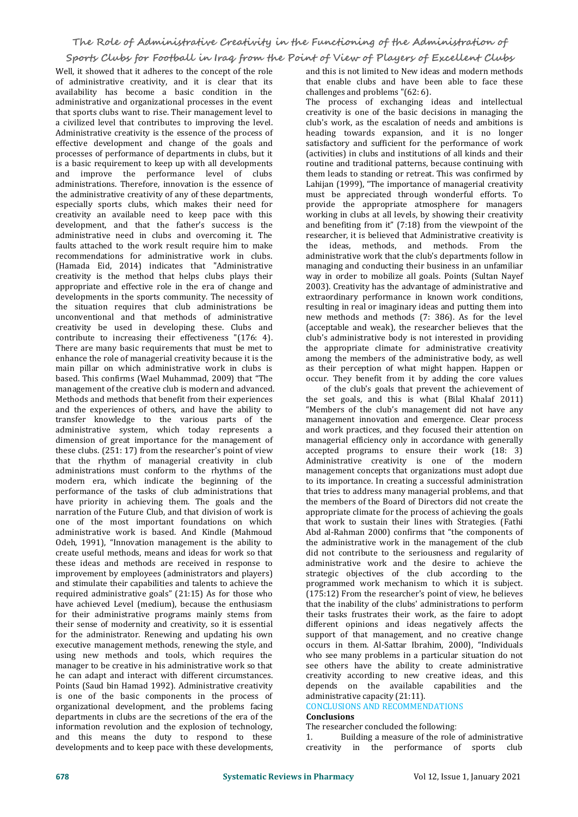# **The Role of Administrative Creativity in the Functioning of the Administration of**

# **Sports Clubs for Football in Iraq from the Point of View of Players of Excellent Clubs**

Well, it showed that it adheres to the concept of the role of administrative creativity, and it is clear that its availability has become a basic condition in the administrative and organizational processes in the event that sports clubs want to rise. Their management level to a civilized level that contributes to improving the level. Administrative creativity is the essence of the process of effective development and change of the goals and processes of performance of departments in clubs, but it is a basic requirement to keep up with all developments and improve the performance level of clubs administrations. Therefore, innovation is the essence of the administrative creativity of any of these departments, especially sports clubs, which makes their need for creativity an available need to keep pace with this development, and that the father's success is the administrative need in clubs and overcoming it. The rese<br>faults attached to the work result require him to make the faults attached to the work result require him to make recommendations for administrative work in clubs. (Hamada Eid, 2014) indicates that "Administrative creativity is the method that helps clubs plays their appropriate and effective role in the era of change and developments in the sports community. The necessity of the situation requires that club administrations be unconventional and that methods of administrative creativity be used in developing these. Clubs and contribute to increasing their effectiveness "(176: 4). There are many basic requirements that must be met to enhance the role of managerial creativity because it is the main pillar on which administrative work in clubs is based. This confirms (Wael Muhammad, 2009) that "The management of the creative club is modern and advanced. Methods and methods that benefit from their experiences and the experiences of others, and have the ability to transfer knowledge to the various parts of the administrative system, which today represents a dimension of great importance for the management of these clubs. (251: 17) from the researcher's point of view that the rhythm of managerial creativity in club administrations must conform to the rhythms of the modern era, which indicate the beginning of the performance of the tasks of club administrations that have priority in achieving them. The goals and the narration of the Future Club, and that division of work is one of the most important foundations on which administrative work is based. And Kindle (Mahmoud Odeh, 1991), "Innovation management is the ability to create useful methods, means and ideas for work so that these ideas and methods are received in response to improvement by employees (administrators and players) and stimulate their capabilities and talents to achieve the required administrative goals" (21:15) As for those who have achieved Level (medium), because the enthusiasm for their administrative programs mainly stems from their sense of modernity and creativity, so it is essential for the administrator. Renewing and updating his own executive management methods, renewing the style, and using new methods and tools, which requires the manager to be creative in his administrative work so that he can adapt and interact with different circumstances. Points (Saud bin Hamad 1992). Administrative creativity is one of the basic components in the process of organizational development, and the problems facing departments in clubs are the secretions of the era of the information revolution and the explosion of technology, The and this means the duty to respond to these  $\overline{1}$ and this means the duty to respond to these developments and to keep pace with these developments,

and this is not limited to New ideas and modern methods that enable clubs and have been able to face these challenges and problems "(62: 6).

The process of exchanging ideas and intellectual creativity is one of the basic decisions in managing the club's work, as the escalation of needs and ambitions is heading towards expansion, and it is no longer satisfactory and sufficient for the performance of work (activities) in clubs and institutions of all kinds and their routine and traditional patterns, because continuing with them leads to standing or retreat. This was confirmed by Lahijan (1999), "The importance of managerial creativity must be appreciated through wonderful efforts. To provide the appropriate atmosphere for managers working in clubs at all levels, by showing their creativity and benefiting from it" (7:18) from the viewpoint of the researcher, it is believed that Administrative creativity is<br>the ideas, methods, and methods. From the ideas, methods, and methods. From administrative work that the club's departments follow in managing and conducting their business in an unfamiliar way in order to mobilize all goals. Points (Sultan Nayef 2003). Creativity has the advantage of administrative and extraordinary performance in known work conditions, resulting in real or imaginary ideas and putting them into new methods and methods (7: 386). As for the level (acceptable and weak), the researcher believes that the club's administrative body is not interested in providing the appropriate climate for administrative creativity among the members of the administrative body, as well as their perception of what might happen. Happen or occur. They benefit from it by adding the core values

of the club's goals that prevent the achievement of the set goals, and this is what (Bilal Khalaf 2011) "Members of the club's management did not have any management innovation and emergence. Clear process and work practices, and they focused their attention on managerial efficiency only in accordance with generally accepted programs to ensure their work (18: 3) Administrative creativity is one of the modern management concepts that organizations must adopt due to its importance. In creating a successful administration that tries to address many managerial problems, and that the members of the Board of Directors did not create the appropriate climate for the process of achieving the goals that work to sustain their lines with Strategies. (Fathi Abd al-Rahman 2000) confirms that "the components of the administrative work in the management of the club did not contribute to the seriousness and regularity of administrative work and the desire to achieve the strategic objectives of the club according to the programmed work mechanism to which it is subject. (175:12) From the researcher's point of view, he believes that the inability of the clubs' administrations to perform their tasks frustrates their work, as the faire to adopt different opinions and ideas negatively affects the support of that management, and no creative change occurs in them. Al-Sattar Ibrahim, 2000), "Individuals who see many problems in a particular situation do not see others have the ability to create administrative creativity according to new creative ideas, and this depends on the available capabilities and the administrative capacity (21:11).

### CONCLUSIONS AND RECOMMENDATIONS **Conclusions**

# The researcher concluded the following:

1. Building a measure of the role of administrative creativity in the performance of sports club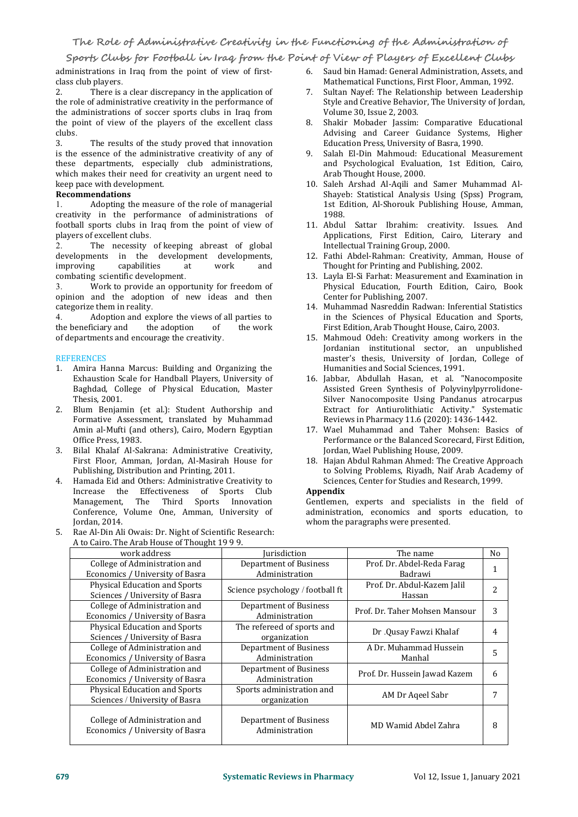**Sports Clubs for Football in Iraq from the Point of View of Players of Excellent Clubs**

administrations in Iraq from the point of view of first class club players.<br>2 There is a

There is a clear discrepancy in the application of  $\qquad \qquad$  7. the role of administrative creativity in the performance of the administrations of soccer sports clubs in Iraq from<br>the point of view of the players of the excellent class the point of view of the players of the excellent class clubs.<br>3.

The results of the study proved that innovation<br>sence of the administrative creativity of any of 9. is the essence of the administrative creativity of any of these departments, especially club administrations, which makes their need for creativity an urgent need to keep pace with development. **Recommendations**

1. Adopting the measure of the role of managerial creativity in the performance of administrations of football sports clubs in Iraq from the point of view of

2. The necessity of keeping abreast of global developments in the development developments,<br>improving capabilities at work and improving capabilities at work and

combating scientific development. 3. Work to provide an opportunity for freedom of opinion and the adoption of new ideas and then categorize them in reality.

4. Adoption and explore the views of all parties to<br>the beneficiary and the adoption of the work the beneficiary and of departments and encourage the creativity.

# **REFERENCES**

- 1. Amira Hanna Marcus: Building and Organizing the Exhaustion Scale for Handball Players, University of Baghdad, College of Physical Education, Master Thesis, 2001.
- 2. Blum Benjamin (et al.): Student Authorship and Formative Assessment, translated by Muhammad Amin al-Mufti (and others), Cairo, Modern Egyptian
- 3. Bilal Khalaf Al-Sakrana: Administrative Creativity, First Floor, Amman, Jordan, Al-Masirah House for Publishing, Distribution and Printing, 2011.
- 4. Hamada Eid and Others: Administrative Creativity to Science Increase the Effectiveness of Sports Club **Appendix** Increase the Effectiveness of Sports Club Management, The Third Sports Innovation Conference, Volume One, Amman, University of Jordan, 2014.
- 5. Rae Al-Din Ali Owais: Dr. Night of Scientific Research: A to Cairo. The Arab House of Thought 19 9 9.
- 6. Saud bin Hamad: General Administration, Assets, and Mathematical Functions, First Floor, Amman, 1992.
- Sultan Navef: The Relationship between Leadership Style and Creative Behavior, The University of Jordan, Volume 30, Issue 2, 2003.
- 8. Shakir Mobader Jassim: Comparative Educational Advising and Career Guidance Systems, Higher Education Press, University of Basra, 1990.
- 9. Salah El-Din Mahmoud: Educational Measurement and Psychological Evaluation, 1st Edition, Cairo, Arab Thought House, 2000.
- 10. Saleh Arshad Al-Aqili and Samer Muhammad Al- Shayeb: Statistical Analysis Using (Spss) Program, 1st Edition, Al-Shorouk Publishing House, Amman, 1988.
- 11. Abdul Sattar Ibrahim: creativity. Issues. And Applications, First Edition, Cairo, Literary and Intellectual Training Group, 2000.
- 12. Fathi Abdel-Rahman: Creativity, Amman, House of Thought for Printing and Publishing, 2002.
- 13. Layla El-Si Farhat: Measurement and Examination in Physical Education, Fourth Edition, Cairo, Book Center for Publishing, 2007.
- 14. Muhammad Nasreddin Radwan: Inferential Statistics in the Sciences of Physical Education and Sports, First Edition, Arab Thought House, Cairo, 2003.
- 15. Mahmoud Odeh: Creativity among workers in the Jordanian institutional sector, an unpublished master's thesis, University of Jordan, College of Humanities and Social Sciences, 1991.
- 16. Jabbar, Abdullah Hasan, et al. "Nanocomposite Assisted Green Synthesis of Polyvinylpyrrolidone- Silver Nanocomposite Using Pandanus atrocarpus Extract for Antiurolithiatic Activity." Systematic Reviews in Pharmacy 11.6 (2020): 1436-1442.
- 17. Wael Muhammad and Taher Mohsen: Basics of Performance or the Balanced Scorecard, First Edition, Jordan, Wael Publishing House, 2009.
- 18. Hajan Abdul Rahman Ahmed: The Creative Approach to Solving Problems, Riyadh, Naif Arab Academy of Sciences, Center for Studies and Research, 1999.

Gentlemen, experts and specialists in the field of administration, economics and sports education, to whom the paragraphs were presented.

| $\alpha$ to call 0. The map house of Hought 1999. |                                  |                                |     |
|---------------------------------------------------|----------------------------------|--------------------------------|-----|
| work address                                      | Jurisdiction                     | The name                       | No. |
| College of Administration and                     | Department of Business           | Prof. Dr. Abdel-Reda Farag     |     |
| Economics / University of Basra                   | Administration                   | Badrawi                        |     |
| <b>Physical Education and Sports</b>              |                                  | Prof. Dr. Abdul-Kazem Jalil    | 2   |
| Sciences / University of Basra                    | Science psychology / football ft | Hassan                         |     |
| College of Administration and                     | Department of Business           | Prof. Dr. Taher Mohsen Mansour | 3   |
| Economics / University of Basra                   | Administration                   |                                |     |
| <b>Physical Education and Sports</b>              | The refereed of sports and       | Dr .Qusay Fawzi Khalaf         | 4   |
| Sciences / University of Basra                    | organization                     |                                |     |
| College of Administration and                     | Department of Business           | A Dr. Muhammad Hussein         | 5   |
| Economics / University of Basra                   | Administration                   | Manhal                         |     |
| College of Administration and                     | Department of Business           | Prof. Dr. Hussein Jawad Kazem  | 6   |
| Economics / University of Basra                   | Administration                   |                                |     |
| Physical Education and Sports                     | Sports administration and        | AM Dr Ageel Sabr               |     |
| Sciences / University of Basra                    | organization                     |                                |     |
|                                                   |                                  |                                |     |
| College of Administration and                     | Department of Business           | MD Wamid Abdel Zahra           | 8   |
| Economics / University of Basra                   | Administration                   |                                |     |
|                                                   |                                  |                                |     |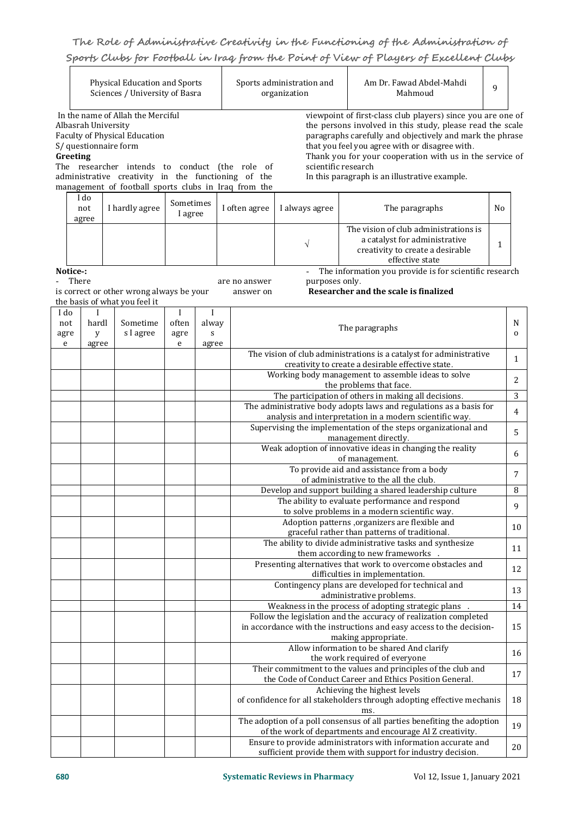**The Role of Administrative Creativity in the Functioning of the Administration of Sports Clubs for Football in Iraq from the Point of View of Players of Excellent Clubs**

|           |                                 | Physical Education and Sports<br>Sciences / University of Basra                                                                                                                                                                                              |                      |            |               | Sports administration and<br>organization | Am Dr. Fawad Abdel-Mahdi<br>Mahmoud                                                                                                                                                                                                                                                                                                                                        | 9  |    |  |
|-----------|---------------------------------|--------------------------------------------------------------------------------------------------------------------------------------------------------------------------------------------------------------------------------------------------------------|----------------------|------------|---------------|-------------------------------------------|----------------------------------------------------------------------------------------------------------------------------------------------------------------------------------------------------------------------------------------------------------------------------------------------------------------------------------------------------------------------------|----|----|--|
|           | Albasrah University<br>Greeting | In the name of Allah the Merciful<br>Faculty of Physical Education<br>S/ questionnaire form<br>The researcher intends to conduct (the role of<br>administrative creativity in the functioning of the<br>management of football sports clubs in Iraq from the |                      |            |               |                                           | viewpoint of first-class club players) since you are one of<br>the persons involved in this study, please read the scale<br>paragraphs carefully and objectively and mark the phrase<br>that you feel you agree with or disagree with.<br>Thank you for your cooperation with us in the service of<br>scientific research<br>In this paragraph is an illustrative example. |    |    |  |
|           | I do<br>not<br>agree            | I hardly agree                                                                                                                                                                                                                                               | Sometimes<br>I agree |            | I often agree | I always agree                            | The paragraphs                                                                                                                                                                                                                                                                                                                                                             | No |    |  |
|           |                                 |                                                                                                                                                                                                                                                              |                      |            |               | $\sqrt{}$                                 | The vision of club administrations is<br>a catalyst for administrative<br>creativity to create a desirable<br>effective state                                                                                                                                                                                                                                              | 1  |    |  |
|           | Notice-:                        |                                                                                                                                                                                                                                                              |                      |            |               |                                           | The information you provide is for scientific research                                                                                                                                                                                                                                                                                                                     |    |    |  |
|           | There                           |                                                                                                                                                                                                                                                              |                      |            | are no answer | purposes only.                            |                                                                                                                                                                                                                                                                                                                                                                            |    |    |  |
|           |                                 | is correct or other wrong always be your<br>the basis of what you feel it                                                                                                                                                                                    |                      |            | answer on     |                                           | Researcher and the scale is finalized                                                                                                                                                                                                                                                                                                                                      |    |    |  |
| I do      |                                 |                                                                                                                                                                                                                                                              | I                    | I          |               |                                           |                                                                                                                                                                                                                                                                                                                                                                            |    |    |  |
| not       | hardl                           | Sometime                                                                                                                                                                                                                                                     | often                | alway      |               |                                           | The paragraphs                                                                                                                                                                                                                                                                                                                                                             |    | N  |  |
| agre<br>e | У<br>agree                      | s I agree                                                                                                                                                                                                                                                    | agre<br>e            | S<br>agree |               |                                           |                                                                                                                                                                                                                                                                                                                                                                            |    | 0  |  |
|           |                                 |                                                                                                                                                                                                                                                              |                      |            |               |                                           | The vision of club administrations is a catalyst for administrative                                                                                                                                                                                                                                                                                                        |    | 1  |  |
|           |                                 |                                                                                                                                                                                                                                                              |                      |            |               |                                           | creativity to create a desirable effective state.                                                                                                                                                                                                                                                                                                                          |    |    |  |
|           |                                 |                                                                                                                                                                                                                                                              |                      |            |               |                                           | Working body management to assemble ideas to solve<br>the problems that face.                                                                                                                                                                                                                                                                                              |    | 2  |  |
|           |                                 |                                                                                                                                                                                                                                                              |                      |            |               |                                           | The participation of others in making all decisions.                                                                                                                                                                                                                                                                                                                       |    | 3  |  |
|           |                                 |                                                                                                                                                                                                                                                              |                      |            |               |                                           | The administrative body adopts laws and regulations as a basis for                                                                                                                                                                                                                                                                                                         |    | 4  |  |
|           |                                 |                                                                                                                                                                                                                                                              |                      |            |               |                                           | analysis and interpretation in a modern scientific way.<br>Supervising the implementation of the steps organizational and                                                                                                                                                                                                                                                  |    |    |  |
|           |                                 |                                                                                                                                                                                                                                                              |                      |            |               |                                           | management directly.                                                                                                                                                                                                                                                                                                                                                       |    | 5  |  |
|           |                                 |                                                                                                                                                                                                                                                              |                      |            |               |                                           | Weak adoption of innovative ideas in changing the reality<br>of management.                                                                                                                                                                                                                                                                                                |    | 6  |  |
|           |                                 |                                                                                                                                                                                                                                                              |                      |            |               |                                           | To provide aid and assistance from a body                                                                                                                                                                                                                                                                                                                                  |    |    |  |
|           |                                 |                                                                                                                                                                                                                                                              |                      |            |               |                                           | of administrative to the all the club.                                                                                                                                                                                                                                                                                                                                     |    | 7  |  |
|           |                                 |                                                                                                                                                                                                                                                              |                      |            |               |                                           | Develop and support building a shared leadership culture<br>The ability to evaluate performance and respond                                                                                                                                                                                                                                                                |    | 8  |  |
|           |                                 |                                                                                                                                                                                                                                                              |                      |            |               |                                           | to solve problems in a modern scientific way.                                                                                                                                                                                                                                                                                                                              |    | 9  |  |
|           |                                 |                                                                                                                                                                                                                                                              |                      |            |               |                                           | Adoption patterns , organizers are flexible and                                                                                                                                                                                                                                                                                                                            |    | 10 |  |
|           |                                 |                                                                                                                                                                                                                                                              |                      |            |               |                                           | graceful rather than patterns of traditional.<br>The ability to divide administrative tasks and synthesize                                                                                                                                                                                                                                                                 |    |    |  |
|           |                                 |                                                                                                                                                                                                                                                              |                      |            |               |                                           | them according to new frameworks                                                                                                                                                                                                                                                                                                                                           |    | 11 |  |
|           |                                 |                                                                                                                                                                                                                                                              |                      |            |               |                                           | Presenting alternatives that work to overcome obstacles and                                                                                                                                                                                                                                                                                                                |    | 12 |  |
|           |                                 |                                                                                                                                                                                                                                                              |                      |            |               |                                           | difficulties in implementation.<br>Contingency plans are developed for technical and                                                                                                                                                                                                                                                                                       |    |    |  |
|           |                                 |                                                                                                                                                                                                                                                              |                      |            |               |                                           | administrative problems.                                                                                                                                                                                                                                                                                                                                                   |    | 13 |  |
|           |                                 |                                                                                                                                                                                                                                                              |                      |            |               |                                           | Weakness in the process of adopting strategic plans.                                                                                                                                                                                                                                                                                                                       |    | 14 |  |
|           |                                 |                                                                                                                                                                                                                                                              |                      |            |               |                                           | Follow the legislation and the accuracy of realization completed<br>in accordance with the instructions and easy access to the decision-                                                                                                                                                                                                                                   |    | 15 |  |
|           |                                 |                                                                                                                                                                                                                                                              |                      |            |               |                                           | making appropriate.                                                                                                                                                                                                                                                                                                                                                        |    |    |  |
|           |                                 |                                                                                                                                                                                                                                                              |                      |            |               |                                           | Allow information to be shared And clarify                                                                                                                                                                                                                                                                                                                                 |    | 16 |  |
|           |                                 |                                                                                                                                                                                                                                                              |                      |            |               |                                           | the work required of everyone<br>Their commitment to the values and principles of the club and                                                                                                                                                                                                                                                                             |    |    |  |
|           |                                 |                                                                                                                                                                                                                                                              |                      |            |               |                                           | the Code of Conduct Career and Ethics Position General.                                                                                                                                                                                                                                                                                                                    |    | 17 |  |
|           |                                 |                                                                                                                                                                                                                                                              |                      |            |               |                                           | Achieving the highest levels                                                                                                                                                                                                                                                                                                                                               |    |    |  |
|           |                                 |                                                                                                                                                                                                                                                              |                      |            |               |                                           | of confidence for all stakeholders through adopting effective mechanis<br>ms.                                                                                                                                                                                                                                                                                              |    | 18 |  |
|           |                                 |                                                                                                                                                                                                                                                              |                      |            |               |                                           | The adoption of a poll consensus of all parties benefiting the adoption<br>of the work of departments and encourage Al Z creativity.                                                                                                                                                                                                                                       |    | 19 |  |
|           |                                 |                                                                                                                                                                                                                                                              |                      |            |               |                                           | Ensure to provide administrators with information accurate and                                                                                                                                                                                                                                                                                                             |    | 20 |  |
|           |                                 |                                                                                                                                                                                                                                                              |                      |            |               |                                           | sufficient provide them with support for industry decision.                                                                                                                                                                                                                                                                                                                |    |    |  |